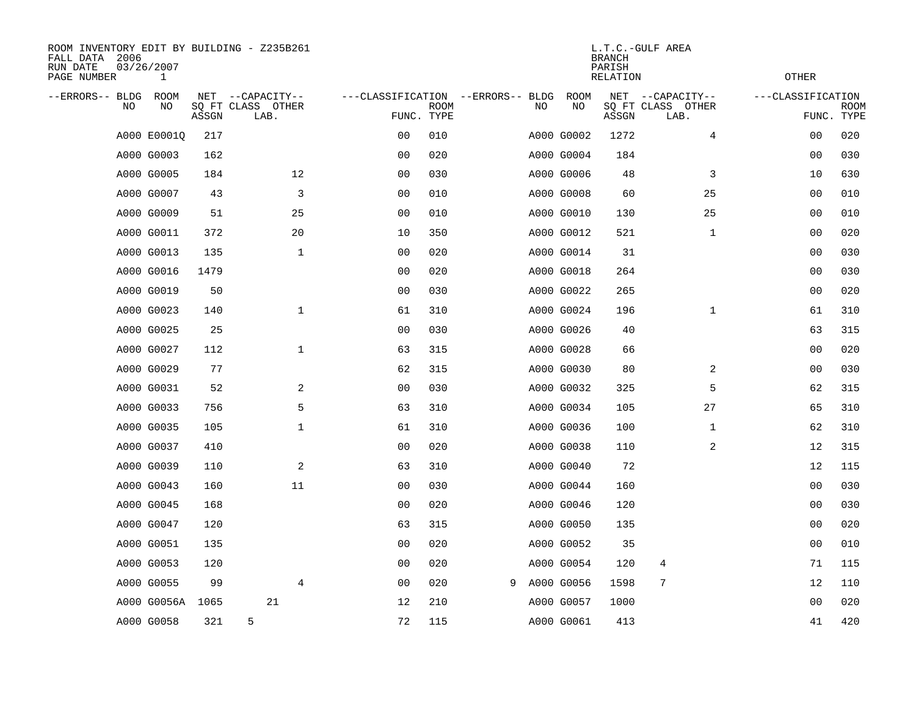| ROOM INVENTORY EDIT BY BUILDING - Z235B261<br>FALL DATA 2006<br>RUN DATE<br>PAGE NUMBER | 03/26/2007<br>$\mathbf{1}$ |       |                                               |                                                 | L.T.C.-GULF AREA<br><b>BRANCH</b><br>PARISH<br><b>RELATION</b> |   |    |                   |       |                                               |                   | <b>OTHER</b>              |  |  |
|-----------------------------------------------------------------------------------------|----------------------------|-------|-----------------------------------------------|-------------------------------------------------|----------------------------------------------------------------|---|----|-------------------|-------|-----------------------------------------------|-------------------|---------------------------|--|--|
| --ERRORS-- BLDG<br>NO                                                                   | ROOM<br>NO                 | ASSGN | NET --CAPACITY--<br>SQ FT CLASS OTHER<br>LAB. | ---CLASSIFICATION --ERRORS-- BLDG<br>FUNC. TYPE | <b>ROOM</b>                                                    |   | NO | <b>ROOM</b><br>NO | ASSGN | NET --CAPACITY--<br>SQ FT CLASS OTHER<br>LAB. | ---CLASSIFICATION | <b>ROOM</b><br>FUNC. TYPE |  |  |
|                                                                                         | A000 E0001Q                | 217   |                                               | 00                                              | 010                                                            |   |    | A000 G0002        | 1272  | 4                                             | 00                | 020                       |  |  |
|                                                                                         | A000 G0003                 | 162   |                                               | 0 <sub>0</sub>                                  | 020                                                            |   |    | A000 G0004        | 184   |                                               | 00                | 030                       |  |  |
|                                                                                         | A000 G0005                 | 184   | 12                                            | 00                                              | 030                                                            |   |    | A000 G0006        | 48    | 3                                             | 10                | 630                       |  |  |
|                                                                                         | A000 G0007                 | 43    | 3                                             | 0 <sub>0</sub>                                  | 010                                                            |   |    | A000 G0008        | 60    | 25                                            | 00                | 010                       |  |  |
|                                                                                         | A000 G0009                 | 51    | 25                                            | 0 <sub>0</sub>                                  | 010                                                            |   |    | A000 G0010        | 130   | 25                                            | 0 <sub>0</sub>    | 010                       |  |  |
|                                                                                         | A000 G0011                 | 372   | 20                                            | 10                                              | 350                                                            |   |    | A000 G0012        | 521   | $\mathbf{1}$                                  | 0 <sub>0</sub>    | 020                       |  |  |
|                                                                                         | A000 G0013                 | 135   | $\mathbf{1}$                                  | 0 <sub>0</sub>                                  | 020                                                            |   |    | A000 G0014        | 31    |                                               | 00                | 030                       |  |  |
|                                                                                         | A000 G0016                 | 1479  |                                               | 0 <sub>0</sub>                                  | 020                                                            |   |    | A000 G0018        | 264   |                                               | 00                | 030                       |  |  |
|                                                                                         | A000 G0019                 | 50    |                                               | 0 <sub>0</sub>                                  | 030                                                            |   |    | A000 G0022        | 265   |                                               | 00                | 020                       |  |  |
|                                                                                         | A000 G0023                 | 140   | $\mathbf{1}$                                  | 61                                              | 310                                                            |   |    | A000 G0024        | 196   | $\mathbf{1}$                                  | 61                | 310                       |  |  |
|                                                                                         | A000 G0025                 | 25    |                                               | 0 <sub>0</sub>                                  | 030                                                            |   |    | A000 G0026        | 40    |                                               | 63                | 315                       |  |  |
|                                                                                         | A000 G0027                 | 112   | $\mathbf{1}$                                  | 63                                              | 315                                                            |   |    | A000 G0028        | 66    |                                               | 0 <sub>0</sub>    | 020                       |  |  |
|                                                                                         | A000 G0029                 | 77    |                                               | 62                                              | 315                                                            |   |    | A000 G0030        | 80    | 2                                             | 0 <sub>0</sub>    | 030                       |  |  |
|                                                                                         | A000 G0031                 | 52    | 2                                             | 00                                              | 030                                                            |   |    | A000 G0032        | 325   | 5                                             | 62                | 315                       |  |  |
|                                                                                         | A000 G0033                 | 756   | 5                                             | 63                                              | 310                                                            |   |    | A000 G0034        | 105   | 27                                            | 65                | 310                       |  |  |
|                                                                                         | A000 G0035                 | 105   | $\mathbf{1}$                                  | 61                                              | 310                                                            |   |    | A000 G0036        | 100   | $\mathbf{1}$                                  | 62                | 310                       |  |  |
|                                                                                         | A000 G0037                 | 410   |                                               | 0 <sub>0</sub>                                  | 020                                                            |   |    | A000 G0038        | 110   | 2                                             | 12                | 315                       |  |  |
|                                                                                         | A000 G0039                 | 110   | 2                                             | 63                                              | 310                                                            |   |    | A000 G0040        | 72    |                                               | 12                | 115                       |  |  |
|                                                                                         | A000 G0043                 | 160   | 11                                            | 0 <sub>0</sub>                                  | 030                                                            |   |    | A000 G0044        | 160   |                                               | 0 <sub>0</sub>    | 030                       |  |  |
|                                                                                         | A000 G0045                 | 168   |                                               | 0 <sub>0</sub>                                  | 020                                                            |   |    | A000 G0046        | 120   |                                               | 00                | 030                       |  |  |
|                                                                                         | A000 G0047                 | 120   |                                               | 63                                              | 315                                                            |   |    | A000 G0050        | 135   |                                               | 00                | 020                       |  |  |
|                                                                                         | A000 G0051                 | 135   |                                               | 00                                              | 020                                                            |   |    | A000 G0052        | 35    |                                               | 00                | 010                       |  |  |
|                                                                                         | A000 G0053                 | 120   |                                               | 0 <sub>0</sub>                                  | 020                                                            |   |    | A000 G0054        | 120   | 4                                             | 71                | 115                       |  |  |
|                                                                                         | A000 G0055                 | 99    | 4                                             | 0 <sub>0</sub>                                  | 020                                                            | 9 |    | A000 G0056        | 1598  | 7                                             | 12                | 110                       |  |  |
|                                                                                         | A000 G0056A                | 1065  | 21                                            | 12                                              | 210                                                            |   |    | A000 G0057        | 1000  |                                               | 00                | 020                       |  |  |
|                                                                                         | A000 G0058                 | 321   | 5                                             | 72                                              | 115                                                            |   |    | A000 G0061        | 413   |                                               | 41                | 420                       |  |  |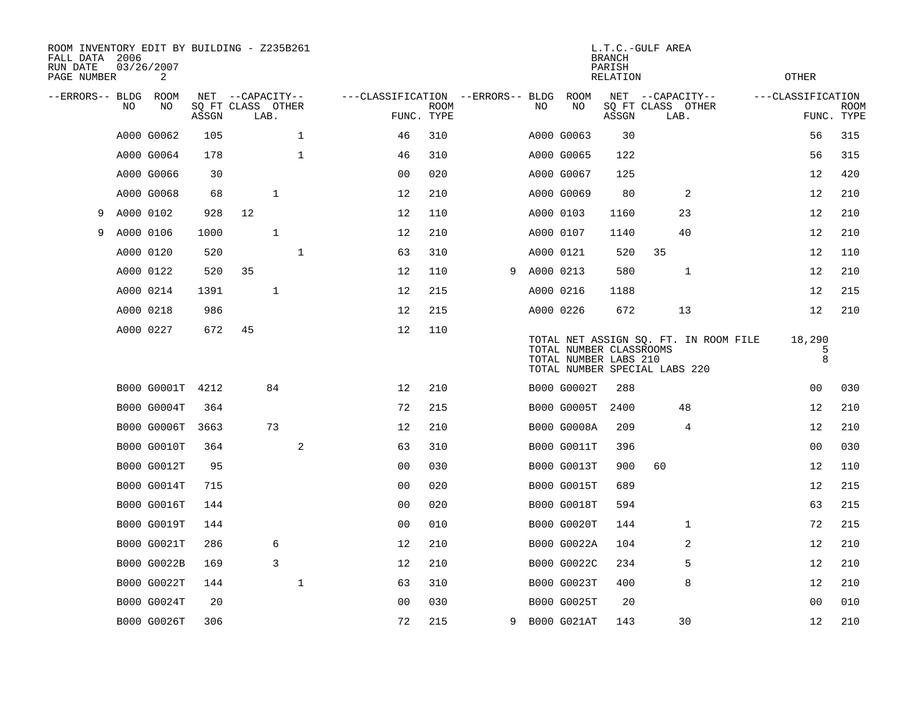| ROOM INVENTORY EDIT BY BUILDING - Z235B261<br>FALL DATA 2006<br>RUN DATE<br>PAGE NUMBER |           | 03/26/2007<br>2    |       |                           |              |                                   |             |   |           |                                                  | <b>BRANCH</b><br>PARISH<br>RELATION | L.T.C.-GULF AREA                                                       | OTHER             |                           |
|-----------------------------------------------------------------------------------------|-----------|--------------------|-------|---------------------------|--------------|-----------------------------------|-------------|---|-----------|--------------------------------------------------|-------------------------------------|------------------------------------------------------------------------|-------------------|---------------------------|
| --ERRORS-- BLDG ROOM                                                                    |           |                    |       | NET --CAPACITY--          |              | ---CLASSIFICATION --ERRORS-- BLDG |             |   |           | ROOM                                             |                                     | NET --CAPACITY--                                                       | ---CLASSIFICATION |                           |
|                                                                                         | NO.       | NO                 | ASSGN | SQ FT CLASS OTHER<br>LAB. |              | FUNC. TYPE                        | <b>ROOM</b> |   | NO.       | NO                                               | ASSGN                               | SQ FT CLASS OTHER<br>LAB.                                              |                   | <b>ROOM</b><br>FUNC. TYPE |
|                                                                                         |           | A000 G0062         | 105   |                           | $\mathbf{1}$ | 46                                | 310         |   |           | A000 G0063                                       | 30                                  |                                                                        | 56                | 315                       |
|                                                                                         |           | A000 G0064         | 178   |                           | $\mathbf{1}$ | 46                                | 310         |   |           | A000 G0065                                       | 122                                 |                                                                        | 56                | 315                       |
|                                                                                         |           | A000 G0066         | 30    |                           |              | 00                                | 020         |   |           | A000 G0067                                       | 125                                 |                                                                        | 12                | 420                       |
|                                                                                         |           | A000 G0068         | 68    |                           | $\mathbf{1}$ | 12                                | 210         |   |           | A000 G0069                                       | 80                                  | 2                                                                      | 12                | 210                       |
| 9                                                                                       | A000 0102 |                    | 928   | 12                        |              | 12                                | 110         |   |           | A000 0103                                        | 1160                                | 23                                                                     | 12                | 210                       |
| 9                                                                                       |           | A000 0106          | 1000  |                           | $\mathbf{1}$ | 12                                | 210         |   |           | A000 0107                                        | 1140                                | 40                                                                     | 12                | 210                       |
|                                                                                         |           | A000 0120          | 520   |                           | $\mathbf{1}$ | 63                                | 310         |   |           | A000 0121                                        | 520                                 | 35                                                                     | 12                | 110                       |
|                                                                                         |           | A000 0122          | 520   | 35                        |              | 12                                | 110         | 9 | A000 0213 |                                                  | 580                                 | 1                                                                      | 12                | 210                       |
|                                                                                         |           | A000 0214          | 1391  |                           | $\mathbf{1}$ | 12                                | 215         |   |           | A000 0216                                        | 1188                                |                                                                        | 12                | 215                       |
|                                                                                         |           | A000 0218          | 986   |                           |              | 12                                | 215         |   |           | A000 0226                                        | 672                                 | 13                                                                     | 12                | 210                       |
|                                                                                         |           | A000 0227          | 672   | 45                        |              | 12                                | 110         |   |           | TOTAL NUMBER CLASSROOMS<br>TOTAL NUMBER LABS 210 |                                     | TOTAL NET ASSIGN SQ. FT. IN ROOM FILE<br>TOTAL NUMBER SPECIAL LABS 220 | 18,290<br>5<br>8  |                           |
|                                                                                         |           | B000 G0001T        | 4212  |                           | 84           | 12                                | 210         |   |           | B000 G0002T                                      | 288                                 |                                                                        | 0 <sub>0</sub>    | 030                       |
|                                                                                         |           | B000 G0004T        | 364   |                           |              | 72                                | 215         |   |           | <b>B000 G0005T</b>                               | 2400                                | 48                                                                     | 12                | 210                       |
|                                                                                         |           | B000 G0006T        | 3663  |                           | 73           | 12                                | 210         |   |           | <b>B000 G0008A</b>                               | 209                                 | 4                                                                      | 12                | 210                       |
|                                                                                         |           | <b>B000 G0010T</b> | 364   |                           | 2            | 63                                | 310         |   |           | B000 G0011T                                      | 396                                 |                                                                        | 0 <sub>0</sub>    | 030                       |
|                                                                                         |           | B000 G0012T        | 95    |                           |              | 0 <sub>0</sub>                    | 030         |   |           | B000 G0013T                                      | 900                                 | 60                                                                     | 12                | 110                       |
|                                                                                         |           | <b>B000 G0014T</b> | 715   |                           |              | 0 <sub>0</sub>                    | 020         |   |           | <b>B000 G0015T</b>                               | 689                                 |                                                                        | 12                | 215                       |
|                                                                                         |           | <b>B000 G0016T</b> | 144   |                           |              | 0 <sub>0</sub>                    | 020         |   |           | <b>B000 G0018T</b>                               | 594                                 |                                                                        | 63                | 215                       |
|                                                                                         |           | B000 G0019T        | 144   |                           |              | 0 <sub>0</sub>                    | 010         |   |           | B000 G0020T                                      | 144                                 | 1                                                                      | 72                | 215                       |
|                                                                                         |           | B000 G0021T        | 286   |                           | 6            | 12                                | 210         |   |           | B000 G0022A                                      | 104                                 | 2                                                                      | 12                | 210                       |
|                                                                                         |           | B000 G0022B        | 169   |                           | 3            | 12                                | 210         |   |           | B000 G0022C                                      | 234                                 | 5                                                                      | 12                | 210                       |
|                                                                                         |           | B000 G0022T        | 144   |                           | 1            | 63                                | 310         |   |           | B000 G0023T                                      | 400                                 | 8                                                                      | 12                | 210                       |
|                                                                                         |           | B000 G0024T        | 20    |                           |              | 0 <sub>0</sub>                    | 030         |   |           | B000 G0025T                                      | 20                                  |                                                                        | 0 <sub>0</sub>    | 010                       |
|                                                                                         |           | B000 G0026T        | 306   |                           |              | 72                                | 215         |   |           | 9 B000 G021AT                                    | 143                                 | 30                                                                     | 12                | 210                       |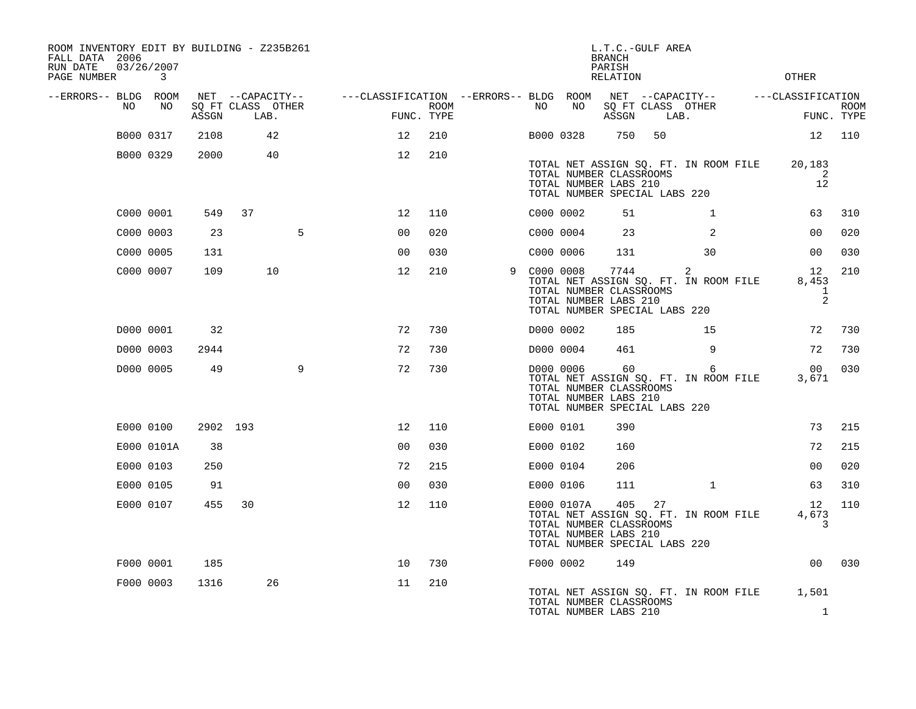| ROOM INVENTORY EDIT BY BUILDING - Z235B261<br>FALL DATA 2006<br>RUN DATE<br>PAGE NUMBER |           | 03/26/2007<br>$\mathbf{3}$ |          |                                               |   |                   |                    |                                                         |           |            | L.T.C.-GULF AREA<br><b>BRANCH</b><br>PARISH<br><b>RELATION</b>                            |      |                                                         | <b>OTHER</b>                     |                           |
|-----------------------------------------------------------------------------------------|-----------|----------------------------|----------|-----------------------------------------------|---|-------------------|--------------------|---------------------------------------------------------|-----------|------------|-------------------------------------------------------------------------------------------|------|---------------------------------------------------------|----------------------------------|---------------------------|
| --ERRORS-- BLDG ROOM                                                                    | NO        | NO                         | ASSGN    | NET --CAPACITY--<br>SQ FT CLASS OTHER<br>LAB. |   |                   | ROOM<br>FUNC. TYPE | ---CLASSIFICATION --ERRORS-- BLDG ROOM NET --CAPACITY-- | NO        | NO         | ASSGN                                                                                     | LAB. | SQ FT CLASS OTHER                                       | ---CLASSIFICATION                | <b>ROOM</b><br>FUNC. TYPE |
|                                                                                         |           | B000 0317                  | 2108     | 42                                            |   | $12 \overline{ }$ | 210                |                                                         | B000 0328 |            | 750                                                                                       | 50   |                                                         | 12                               | 110                       |
|                                                                                         | B000 0329 |                            | 2000     | 40                                            |   | 12                | 210                |                                                         |           |            | TOTAL NUMBER CLASSROOMS<br>TOTAL NUMBER LABS 210<br>TOTAL NUMBER SPECIAL LABS 220         |      | TOTAL NET ASSIGN SQ. FT. IN ROOM FILE                   | 20,183<br>2<br>12                |                           |
|                                                                                         | C000 0001 |                            | 549      | 37                                            |   | $12 \overline{ }$ | 110                |                                                         | C000 0002 |            | 51                                                                                        |      | $\mathbf{1}$                                            | 63                               | 310                       |
|                                                                                         | C000 0003 |                            | 23       |                                               | 5 | 0 <sub>0</sub>    | 020                |                                                         | C000 0004 |            | 23                                                                                        |      | 2                                                       | 00                               | 020                       |
|                                                                                         | C000 0005 |                            | 131      |                                               |   | 0 <sub>0</sub>    | 030                |                                                         | C000 0006 |            | 131                                                                                       |      | 30                                                      | 0 <sub>0</sub>                   | 030                       |
|                                                                                         | C000 0007 |                            | 109      | 10                                            |   | 12                | 210                | 9                                                       | COOO 0008 |            | 7744<br>TOTAL NUMBER CLASSROOMS<br>TOTAL NUMBER LABS 210<br>TOTAL NUMBER SPECIAL LABS 220 |      | $\overline{2}$<br>TOTAL NET ASSIGN SQ. FT. IN ROOM FILE | 12<br>8,453<br>$\mathbf{1}$<br>2 | 210                       |
|                                                                                         | D000 0001 |                            | 32       |                                               |   | 72                | 730                |                                                         | D000 0002 |            | 185                                                                                       |      | 15                                                      | 72                               | 730                       |
|                                                                                         | D000 0003 |                            | 2944     |                                               |   | 72                | 730                |                                                         | D000 0004 |            | 461                                                                                       |      | 9                                                       | 72                               | 730                       |
|                                                                                         |           | D000 0005                  | 49       |                                               | 9 | 72                | 730                |                                                         |           | D000 0006  | 60<br>TOTAL NUMBER CLASSROOMS<br>TOTAL NUMBER LABS 210<br>TOTAL NUMBER SPECIAL LABS 220   |      | 6<br>TOTAL NET ASSIGN SQ. FT. IN ROOM FILE              | 00 <sub>o</sub><br>3,671         | 030                       |
|                                                                                         |           | E000 0100                  | 2902 193 |                                               |   | 12                | 110                |                                                         | E000 0101 |            | 390                                                                                       |      |                                                         | 73                               | 215                       |
|                                                                                         |           | E000 0101A                 | 38       |                                               |   | 0 <sub>0</sub>    | 030                |                                                         | E000 0102 |            | 160                                                                                       |      |                                                         | 72                               | 215                       |
|                                                                                         |           | E000 0103                  | 250      |                                               |   | 72                | 215                |                                                         | E000 0104 |            | 206                                                                                       |      |                                                         | 00                               | 020                       |
|                                                                                         | E000 0105 |                            | 91       |                                               |   | 0 <sub>0</sub>    | 030                |                                                         | E000 0106 |            | 111                                                                                       |      | $\mathbf{1}$                                            | 63                               | 310                       |
|                                                                                         |           | E000 0107                  | 455      | 30                                            |   | 12                | 110                |                                                         |           | E000 0107A | 405<br>TOTAL NUMBER CLASSROOMS<br>TOTAL NUMBER LABS 210<br>TOTAL NUMBER SPECIAL LABS 220  | 27   | TOTAL NET ASSIGN SQ. FT. IN ROOM FILE                   | 12<br>4,673<br>3                 | 110                       |
|                                                                                         | F000 0001 |                            | 185      |                                               |   | 10                | 730                |                                                         | F000 0002 |            | 149                                                                                       |      |                                                         | 0 <sub>0</sub>                   | 030                       |
|                                                                                         |           | F000 0003                  | 1316     | 26                                            |   | 11                | 210                |                                                         |           |            | TOTAL NUMBER CLASSROOMS<br>TOTAL NUMBER LABS 210                                          |      | TOTAL NET ASSIGN SQ. FT. IN ROOM FILE                   | 1,501<br>$\mathbf{1}$            |                           |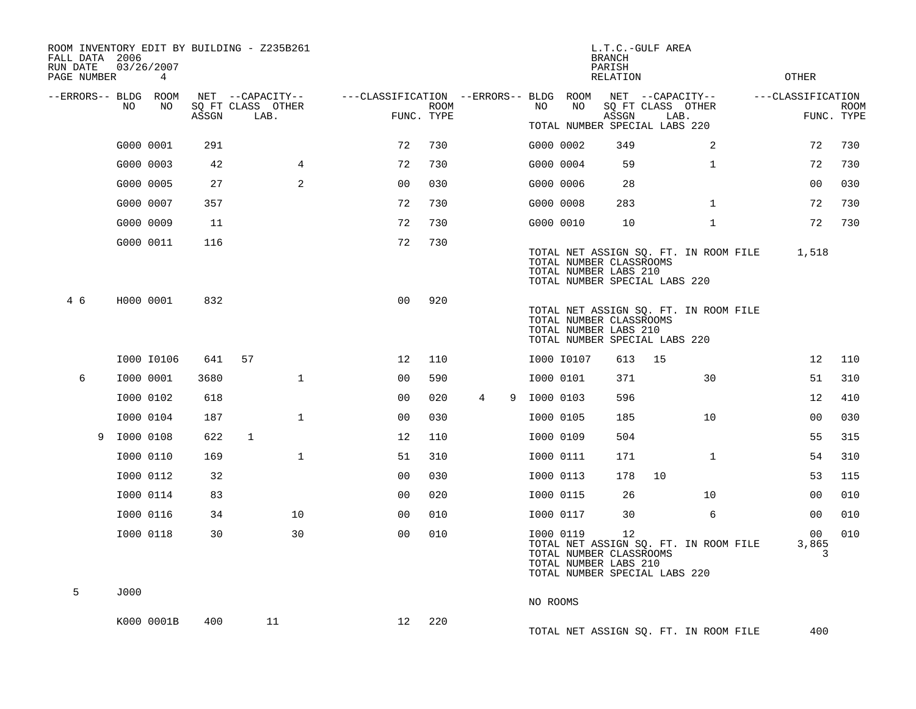| FALL DATA 2006<br>RUN DATE<br>PAGE NUMBER |           | 03/26/2007<br>4 |       | ROOM INVENTORY EDIT BY BUILDING - Z235B261 |                                        |             |                     |           |            | L.T.C.-GULF AREA<br><b>BRANCH</b><br>PARISH<br><b>RELATION</b> |                                                                        | OTHER             |             |
|-------------------------------------------|-----------|-----------------|-------|--------------------------------------------|----------------------------------------|-------------|---------------------|-----------|------------|----------------------------------------------------------------|------------------------------------------------------------------------|-------------------|-------------|
| --ERRORS-- BLDG ROOM                      | NO        | NO              |       | NET --CAPACITY--<br>SQ FT CLASS OTHER      | ---CLASSIFICATION --ERRORS-- BLDG ROOM | <b>ROOM</b> |                     | NO.       | NO         |                                                                | NET --CAPACITY--<br>SQ FT CLASS OTHER                                  | ---CLASSIFICATION | <b>ROOM</b> |
|                                           |           |                 | ASSGN | LAB.                                       |                                        | FUNC. TYPE  |                     |           |            | ASSGN                                                          | LAB.<br>TOTAL NUMBER SPECIAL LABS 220                                  | FUNC. TYPE        |             |
|                                           |           | G000 0001       | 291   |                                            | 72                                     | 730         |                     |           | G000 0002  | 349                                                            | 2                                                                      | 72                | 730         |
|                                           |           | G000 0003       | 42    | $\overline{4}$                             | 72                                     | 730         |                     |           | G000 0004  | 59                                                             | $\mathbf{1}$                                                           | 72                | 730         |
|                                           |           | G000 0005       | 27    | 2                                          | 0 <sub>0</sub>                         | 030         |                     |           | G000 0006  | 28                                                             |                                                                        | 0 <sub>0</sub>    | 030         |
|                                           |           | G000 0007       | 357   |                                            | 72                                     | 730         |                     |           | G000 0008  | 283                                                            | $\mathbf{1}$                                                           | 72                | 730         |
|                                           |           | G000 0009       | 11    |                                            | 72                                     | 730         |                     |           | G000 0010  | 10                                                             | $\mathbf{1}$                                                           | 72                | 730         |
|                                           |           | G000 0011       | 116   |                                            | 72                                     | 730         |                     |           |            |                                                                |                                                                        |                   |             |
|                                           |           |                 |       |                                            |                                        |             |                     |           |            | TOTAL NUMBER CLASSROOMS<br>TOTAL NUMBER LABS 210               | TOTAL NET ASSIGN SQ. FT. IN ROOM FILE<br>TOTAL NUMBER SPECIAL LABS 220 | 1,518             |             |
| 4 6                                       |           | H000 0001       | 832   |                                            | 0 <sub>0</sub>                         | 920         |                     |           |            | TOTAL NUMBER CLASSROOMS<br>TOTAL NUMBER LABS 210               | TOTAL NET ASSIGN SQ. FT. IN ROOM FILE<br>TOTAL NUMBER SPECIAL LABS 220 |                   |             |
|                                           |           | I000 I0106      | 641   | 57                                         | 12                                     | 110         |                     |           | I000 I0107 | 613                                                            | 15                                                                     | 12                | 110         |
| 6                                         | I000 0001 |                 | 3680  | $\mathbf{1}$                               | 0 <sub>0</sub>                         | 590         |                     |           | I000 0101  | 371                                                            | 30                                                                     | 51                | 310         |
|                                           |           | I000 0102       | 618   |                                            | 0 <sub>0</sub>                         | 020         | $\overline{4}$<br>9 | I000 0103 |            | 596                                                            |                                                                        | 12                | 410         |
|                                           |           | I000 0104       | 187   | $\mathbf{1}$                               | 0 <sub>0</sub>                         | 030         |                     |           | I000 0105  | 185                                                            | 10                                                                     | 00                | 030         |
| 9                                         | I000 0108 |                 | 622   | 1                                          | 12                                     | 110         |                     |           | I000 0109  | 504                                                            |                                                                        | 55                | 315         |
|                                           |           | I000 0110       | 169   | $\mathbf{1}$                               | 51                                     | 310         |                     |           | I000 0111  | 171                                                            | $\mathbf{1}$                                                           | 54                | 310         |
|                                           |           | I000 0112       | 32    |                                            | 0 <sub>0</sub>                         | 030         |                     |           | I000 0113  | 178                                                            | 10                                                                     | 53                | 115         |
|                                           |           | I000 0114       | 83    |                                            | 0 <sub>0</sub>                         | 020         |                     |           | I000 0115  | 26                                                             | 10                                                                     | 0 <sub>0</sub>    | 010         |
|                                           |           | I000 0116       | 34    | 10                                         | 0 <sub>0</sub>                         | 010         |                     |           | I000 0117  | 30                                                             | 6                                                                      | 0 <sub>0</sub>    | 010         |
|                                           |           | I000 0118       | 30    | 30                                         | 0 <sub>0</sub>                         | 010         |                     |           | I000 0119  | 12<br>TOTAL NUMBER CLASSROOMS<br>TOTAL NUMBER LABS 210         | TOTAL NET ASSIGN SQ. FT. IN ROOM FILE<br>TOTAL NUMBER SPECIAL LABS 220 | 00<br>3,865<br>3  | 010         |
| 5                                         | J000      |                 |       |                                            |                                        |             |                     |           |            |                                                                |                                                                        |                   |             |
|                                           |           |                 |       |                                            |                                        |             |                     | NO ROOMS  |            |                                                                |                                                                        |                   |             |
|                                           |           | K000 0001B      | 400   | 11                                         | 12                                     | 220         |                     |           |            |                                                                | TOTAL NET ASSIGN SQ. FT. IN ROOM FILE                                  | 400               |             |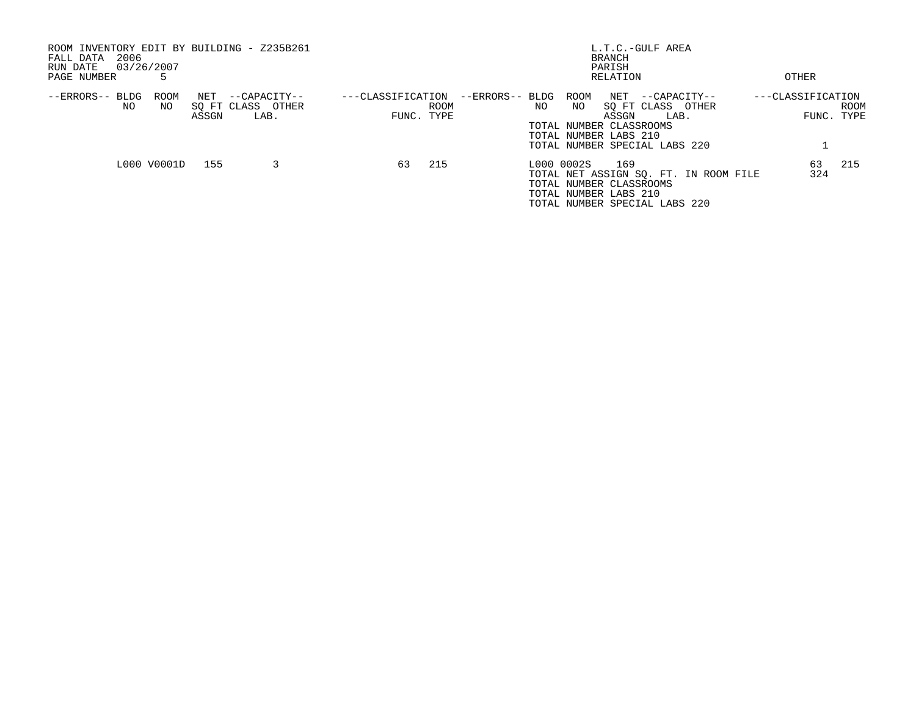| ROOM INVENTORY EDIT BY BUILDING - Z235B261<br>2006<br>FALL DATA<br>03/26/2007<br>RUN DATE<br>PAGE NUMBER |              |                                           |                   |                    |                 |     |                                                                | <b>BRANCH</b><br>PARISH<br>RELATION | L.T.C.-GULF AREA                                                               | OTHER             |                    |
|----------------------------------------------------------------------------------------------------------|--------------|-------------------------------------------|-------------------|--------------------|-----------------|-----|----------------------------------------------------------------|-------------------------------------|--------------------------------------------------------------------------------|-------------------|--------------------|
| --ERRORS-- BLDG<br>ROOM<br>NO<br>NO.                                                                     | NET<br>ASSGN | --CAPACITY--<br>SQ FT CLASS OTHER<br>LAB. | ---CLASSIFICATION | ROOM<br>FUNC. TYPE | --ERRORS-- BLDG | NO. | ROOM<br>NO<br>TOTAL NUMBER CLASSROOMS<br>TOTAL NUMBER LABS 210 | ASSGN                               | NET --CAPACITY--<br>SO FT CLASS OTHER<br>LAB.<br>TOTAL NUMBER SPECIAL LABS 220 | ---CLASSIFICATION | ROOM<br>FUNC. TYPE |
| L000 V0001D                                                                                              | 155          |                                           | 63                | 215                |                 |     | L000 0002S<br>TOTAL NUMBER CLASSROOMS<br>TOTAL NUMBER LABS 210 | 169                                 | TOTAL NET ASSIGN SO. FT. IN ROOM FILE<br>TOTAL NUMBER SPECIAL LABS 220         | 63<br>324         | 215                |